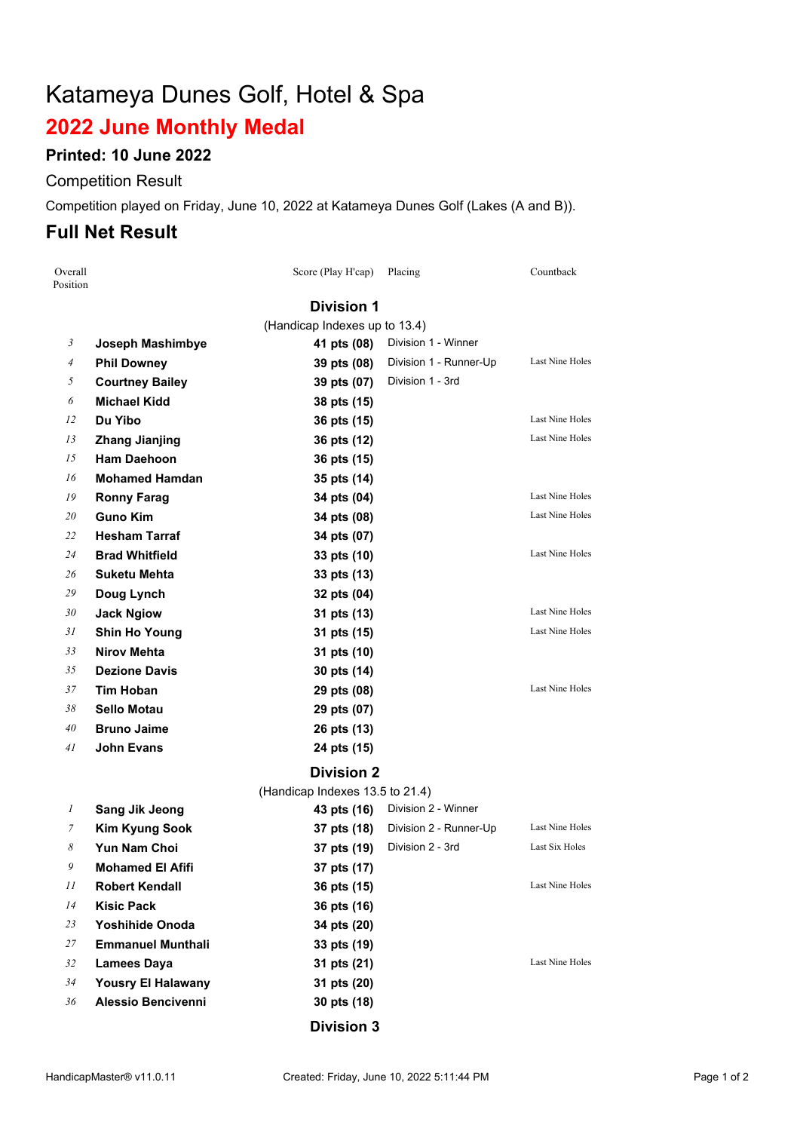# Katameya Dunes Golf, Hotel & Spa

# **June Monthly Medal**

### **Printed: 10 June 2022**

#### Competition Result

Competition played on Friday, June 10, 2022 at Katameya Dunes Golf (Lakes (A and B)).

# **Full Net Result**

| Overall<br>Position |                           | Score (Play H'cap)                             | Placing                | Countback              |  |  |  |
|---------------------|---------------------------|------------------------------------------------|------------------------|------------------------|--|--|--|
|                     |                           | <b>Division 1</b>                              |                        |                        |  |  |  |
|                     |                           | (Handicap Indexes up to 13.4)                  |                        |                        |  |  |  |
| 3                   | Joseph Mashimbye          | 41 pts (08)                                    | Division 1 - Winner    |                        |  |  |  |
| $\overline{4}$      | <b>Phil Downey</b>        | 39 pts (08)                                    | Division 1 - Runner-Up | Last Nine Holes        |  |  |  |
| 5                   | <b>Courtney Bailey</b>    | 39 pts (07)                                    | Division 1 - 3rd       |                        |  |  |  |
| 6                   | <b>Michael Kidd</b>       | 38 pts (15)                                    |                        |                        |  |  |  |
| 12                  | Du Yibo                   | 36 pts (15)                                    |                        | Last Nine Holes        |  |  |  |
| 13                  | <b>Zhang Jianjing</b>     | 36 pts (12)                                    |                        | <b>Last Nine Holes</b> |  |  |  |
| 15                  | <b>Ham Daehoon</b>        | 36 pts (15)                                    |                        |                        |  |  |  |
| 16                  | <b>Mohamed Hamdan</b>     | 35 pts (14)                                    |                        |                        |  |  |  |
| 19                  | <b>Ronny Farag</b>        | 34 pts (04)                                    |                        | Last Nine Holes        |  |  |  |
| 20                  | <b>Guno Kim</b>           | 34 pts (08)                                    |                        | Last Nine Holes        |  |  |  |
| 22                  | <b>Hesham Tarraf</b>      | 34 pts (07)                                    |                        |                        |  |  |  |
| 24                  | <b>Brad Whitfield</b>     | 33 pts (10)                                    |                        | Last Nine Holes        |  |  |  |
| 26                  | Suketu Mehta              | 33 pts (13)                                    |                        |                        |  |  |  |
| 29                  | Doug Lynch                | 32 pts (04)                                    |                        |                        |  |  |  |
| 30                  | <b>Jack Ngiow</b>         | 31 pts (13)                                    |                        | Last Nine Holes        |  |  |  |
| 31                  | <b>Shin Ho Young</b>      | 31 pts (15)                                    |                        | Last Nine Holes        |  |  |  |
| 33                  | <b>Nirov Mehta</b>        | 31 pts (10)                                    |                        |                        |  |  |  |
| 35                  | <b>Dezione Davis</b>      | 30 pts (14)                                    |                        |                        |  |  |  |
| 37                  | <b>Tim Hoban</b>          | 29 pts (08)                                    |                        | Last Nine Holes        |  |  |  |
| 38                  | <b>Sello Motau</b>        | 29 pts (07)                                    |                        |                        |  |  |  |
| 40                  | <b>Bruno Jaime</b>        | 26 pts (13)                                    |                        |                        |  |  |  |
| 41                  | <b>John Evans</b>         | 24 pts (15)                                    |                        |                        |  |  |  |
|                     | <b>Division 2</b>         |                                                |                        |                        |  |  |  |
| 1                   | <b>Sang Jik Jeong</b>     | (Handicap Indexes 13.5 to 21.4)<br>43 pts (16) | Division 2 - Winner    |                        |  |  |  |
| 7                   | <b>Kim Kyung Sook</b>     | 37 pts (18)                                    | Division 2 - Runner-Up | Last Nine Holes        |  |  |  |
| 8                   | <b>Yun Nam Choi</b>       | 37 pts (19)                                    | Division 2 - 3rd       | Last Six Holes         |  |  |  |
| 9                   | Mohamed El Afifi          | 37 pts (17)                                    |                        |                        |  |  |  |
| 11                  | <b>Robert Kendall</b>     | 36 pts (15)                                    |                        | Last Nine Holes        |  |  |  |
| 14                  | <b>Kisic Pack</b>         | 36 pts (16)                                    |                        |                        |  |  |  |
| 23                  | <b>Yoshihide Onoda</b>    | 34 pts (20)                                    |                        |                        |  |  |  |
| 27                  | <b>Emmanuel Munthali</b>  | 33 pts (19)                                    |                        |                        |  |  |  |
| 32                  | <b>Lamees Daya</b>        | 31 pts (21)                                    |                        | Last Nine Holes        |  |  |  |
| 34                  | <b>Yousry El Halawany</b> | 31 pts (20)                                    |                        |                        |  |  |  |
| 36                  | <b>Alessio Bencivenni</b> | 30 pts (18)                                    |                        |                        |  |  |  |
|                     |                           |                                                |                        |                        |  |  |  |
|                     |                           | <b>Division 3</b>                              |                        |                        |  |  |  |